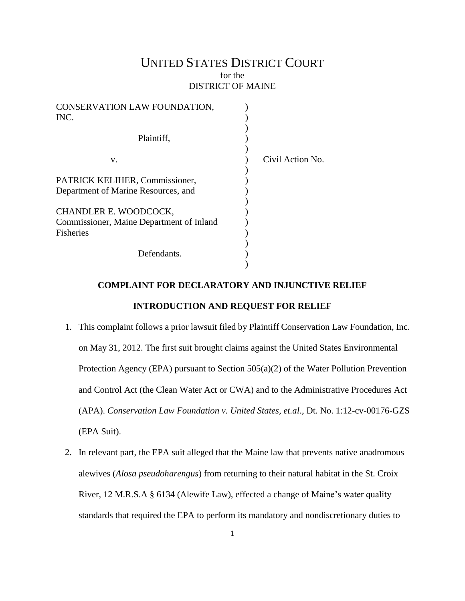# UNITED STATES DISTRICT COURT for the DISTRICT OF MAINE

| CONSERVATION LAW FOUNDATION,<br>INC.     |                  |
|------------------------------------------|------------------|
|                                          |                  |
| Plaintiff,                               |                  |
| V.                                       | Civil Action No. |
| PATRICK KELIHER, Commissioner,           |                  |
| Department of Marine Resources, and      |                  |
| CHANDLER E. WOODCOCK,                    |                  |
| Commissioner, Maine Department of Inland |                  |
| <b>Fisheries</b>                         |                  |
|                                          |                  |
| Defendants.                              |                  |
|                                          |                  |

## **COMPLAINT FOR DECLARATORY AND INJUNCTIVE RELIEF**

# **INTRODUCTION AND REQUEST FOR RELIEF**

- 1. This complaint follows a prior lawsuit filed by Plaintiff Conservation Law Foundation, Inc. on May 31, 2012. The first suit brought claims against the United States Environmental Protection Agency (EPA) pursuant to Section 505(a)(2) of the Water Pollution Prevention and Control Act (the Clean Water Act or CWA) and to the Administrative Procedures Act (APA). *Conservation Law Foundation v. United States, et.al*., Dt. No. 1:12-cv-00176-GZS (EPA Suit).
- 2. In relevant part, the EPA suit alleged that the Maine law that prevents native anadromous alewives (*Alosa pseudoharengus*) from returning to their natural habitat in the St. Croix River, 12 M.R.S.A § 6134 (Alewife Law), effected a change of Maine's water quality standards that required the EPA to perform its mandatory and nondiscretionary duties to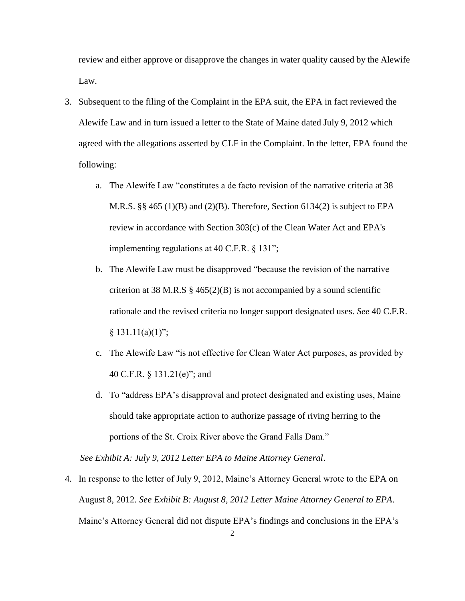review and either approve or disapprove the changes in water quality caused by the Alewife Law.

- 3. Subsequent to the filing of the Complaint in the EPA suit, the EPA in fact reviewed the Alewife Law and in turn issued a letter to the State of Maine dated July 9, 2012 which agreed with the allegations asserted by CLF in the Complaint. In the letter, EPA found the following:
	- a. The Alewife Law "constitutes a de facto revision of the narrative criteria at 38 M.R.S. §§ 465 (1)(B) and (2)(B). Therefore, Section 6134(2) is subject to EPA review in accordance with Section 303(c) of the Clean Water Act and EPA's implementing regulations at 40 C.F.R. § 131";
	- b. The Alewife Law must be disapproved "because the revision of the narrative criterion at 38 M.R.S  $\S$  465(2)(B) is not accompanied by a sound scientific rationale and the revised criteria no longer support designated uses. *See* 40 C.F.R.  $§ 131.11(a)(1)$ ";
	- c. The Alewife Law "is not effective for Clean Water Act purposes, as provided by 40 C.F.R. § 131.21(e)"; and
	- d. To "address EPA's disapproval and protect designated and existing uses, Maine should take appropriate action to authorize passage of riving herring to the portions of the St. Croix River above the Grand Falls Dam."

 *See Exhibit A: July 9, 2012 Letter EPA to Maine Attorney General*.

4. In response to the letter of July 9, 2012, Maine's Attorney General wrote to the EPA on August 8, 2012. *See Exhibit B: August 8, 2012 Letter Maine Attorney General to EPA*. Maine's Attorney General did not dispute EPA's findings and conclusions in the EPA's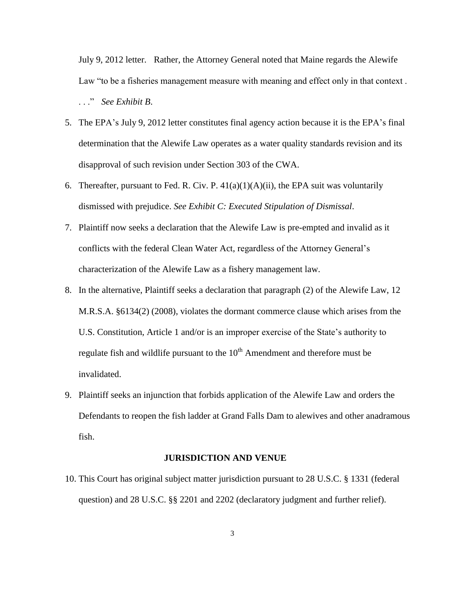July 9, 2012 letter. Rather, the Attorney General noted that Maine regards the Alewife Law "to be a fisheries management measure with meaning and effect only in that context . . . ." *See Exhibit B*.

- 5. The EPA's July 9, 2012 letter constitutes final agency action because it is the EPA's final determination that the Alewife Law operates as a water quality standards revision and its disapproval of such revision under Section 303 of the CWA.
- 6. Thereafter, pursuant to Fed. R. Civ. P.  $41(a)(1)(A)(ii)$ , the EPA suit was voluntarily dismissed with prejudice. *See Exhibit C: Executed Stipulation of Dismissal*.
- 7. Plaintiff now seeks a declaration that the Alewife Law is pre-empted and invalid as it conflicts with the federal Clean Water Act, regardless of the Attorney General's characterization of the Alewife Law as a fishery management law.
- 8. In the alternative, Plaintiff seeks a declaration that paragraph (2) of the Alewife Law, 12 M.R.S.A. §6134(2) (2008), violates the dormant commerce clause which arises from the U.S. Constitution, Article 1 and/or is an improper exercise of the State's authority to regulate fish and wildlife pursuant to the  $10<sup>th</sup>$  Amendment and therefore must be invalidated.
- 9. Plaintiff seeks an injunction that forbids application of the Alewife Law and orders the Defendants to reopen the fish ladder at Grand Falls Dam to alewives and other anadramous fish.

#### **JURISDICTION AND VENUE**

10. This Court has original subject matter jurisdiction pursuant to 28 U.S.C. § 1331 (federal question) and 28 U.S.C. §§ 2201 and 2202 (declaratory judgment and further relief).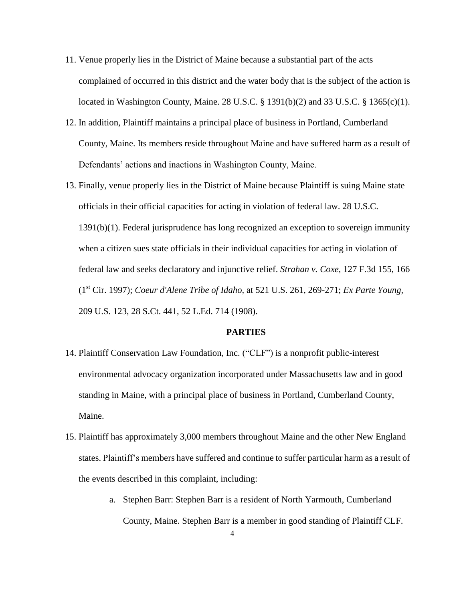- 11. Venue properly lies in the District of Maine because a substantial part of the acts complained of occurred in this district and the water body that is the subject of the action is located in Washington County, Maine. 28 U.S.C. § 1391(b)(2) and 33 U.S.C. § 1365(c)(1).
- 12. In addition, Plaintiff maintains a principal place of business in Portland, Cumberland County, Maine. Its members reside throughout Maine and have suffered harm as a result of Defendants' actions and inactions in Washington County, Maine.
- 13. Finally, venue properly lies in the District of Maine because Plaintiff is suing Maine state officials in their official capacities for acting in violation of federal law. 28 U.S.C. 1391(b)(1). Federal jurisprudence has long recognized an exception to sovereign immunity when a citizen sues state officials in their individual capacities for acting in violation of federal law and seeks declaratory and injunctive relief. *Strahan v. Coxe,* 127 F.3d 155, 166 (1st Cir. 1997); *[Coeur d'Alene Tribe of Idaho,](https://a.next.westlaw.com/Link/Document/FullText?findType=Y&serNum=1997131774&pubNum=708&originationContext=document&transitionType=DocumentItem&contextData=(sc.Search)#co_pp_sp_708_2034)* at 521 U.S. 261, 269-271; *Ex Parte [Young,](https://a.next.westlaw.com/Link/Document/FullText?findType=Y&serNum=1908100273&pubNum=708&originationContext=document&transitionType=DocumentItem&contextData=(sc.Search))* [209 U.S. 123, 28 S.Ct. 441, 52 L.Ed. 714 \(1908\).](https://a.next.westlaw.com/Link/Document/FullText?findType=Y&serNum=1908100273&pubNum=708&originationContext=document&transitionType=DocumentItem&contextData=(sc.Search))

## **PARTIES**

- 14. Plaintiff Conservation Law Foundation, Inc. ("CLF") is a nonprofit public-interest environmental advocacy organization incorporated under Massachusetts law and in good standing in Maine, with a principal place of business in Portland, Cumberland County, Maine.
- 15. Plaintiff has approximately 3,000 members throughout Maine and the other New England states. Plaintiff's members have suffered and continue to suffer particular harm as a result of the events described in this complaint, including:
	- a. Stephen Barr: Stephen Barr is a resident of North Yarmouth, Cumberland County, Maine. Stephen Barr is a member in good standing of Plaintiff CLF.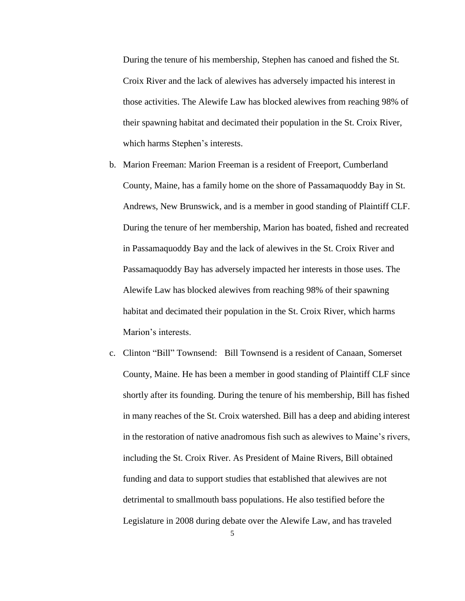During the tenure of his membership, Stephen has canoed and fished the St. Croix River and the lack of alewives has adversely impacted his interest in those activities. The Alewife Law has blocked alewives from reaching 98% of their spawning habitat and decimated their population in the St. Croix River, which harms Stephen's interests.

- b. Marion Freeman: Marion Freeman is a resident of Freeport, Cumberland County, Maine, has a family home on the shore of Passamaquoddy Bay in St. Andrews, New Brunswick, and is a member in good standing of Plaintiff CLF. During the tenure of her membership, Marion has boated, fished and recreated in Passamaquoddy Bay and the lack of alewives in the St. Croix River and Passamaquoddy Bay has adversely impacted her interests in those uses. The Alewife Law has blocked alewives from reaching 98% of their spawning habitat and decimated their population in the St. Croix River, which harms Marion's interests.
- c. Clinton "Bill" Townsend: Bill Townsend is a resident of Canaan, Somerset County, Maine. He has been a member in good standing of Plaintiff CLF since shortly after its founding. During the tenure of his membership, Bill has fished in many reaches of the St. Croix watershed. Bill has a deep and abiding interest in the restoration of native anadromous fish such as alewives to Maine's rivers, including the St. Croix River. As President of Maine Rivers, Bill obtained funding and data to support studies that established that alewives are not detrimental to smallmouth bass populations. He also testified before the Legislature in 2008 during debate over the Alewife Law, and has traveled

5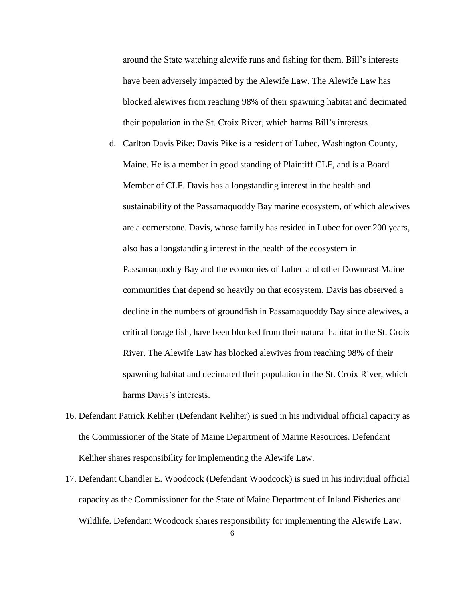around the State watching alewife runs and fishing for them. Bill's interests have been adversely impacted by the Alewife Law. The Alewife Law has blocked alewives from reaching 98% of their spawning habitat and decimated their population in the St. Croix River, which harms Bill's interests.

- d. Carlton Davis Pike: Davis Pike is a resident of Lubec, Washington County, Maine. He is a member in good standing of Plaintiff CLF, and is a Board Member of CLF. Davis has a longstanding interest in the health and sustainability of the Passamaquoddy Bay marine ecosystem, of which alewives are a cornerstone. Davis, whose family has resided in Lubec for over 200 years, also has a longstanding interest in the health of the ecosystem in Passamaquoddy Bay and the economies of Lubec and other Downeast Maine communities that depend so heavily on that ecosystem. Davis has observed a decline in the numbers of groundfish in Passamaquoddy Bay since alewives, a critical forage fish, have been blocked from their natural habitat in the St. Croix River. The Alewife Law has blocked alewives from reaching 98% of their spawning habitat and decimated their population in the St. Croix River, which harms Davis's interests.
- 16. Defendant Patrick Keliher (Defendant Keliher) is sued in his individual official capacity as the Commissioner of the State of Maine Department of Marine Resources. Defendant Keliher shares responsibility for implementing the Alewife Law.
- 17. Defendant Chandler E. Woodcock (Defendant Woodcock) is sued in his individual official capacity as the Commissioner for the State of Maine Department of Inland Fisheries and Wildlife. Defendant Woodcock shares responsibility for implementing the Alewife Law.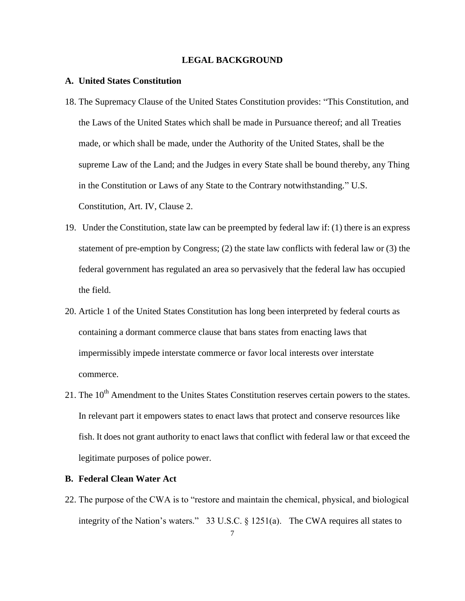## **LEGAL BACKGROUND**

## **A. United States Constitution**

- 18. The Supremacy Clause of the United States Constitution provides: "This Constitution, and the Laws of the United States which shall be made in Pursuance thereof; and all Treaties made, or which shall be made, under the Authority of the United States, shall be the supreme Law of the Land; and the Judges in every State shall be bound thereby, any Thing in the Constitution or Laws of any State to the Contrary notwithstanding." U.S. Constitution, Art. IV, Clause 2.
- 19. Under the Constitution, state law can be preempted by federal law if: (1) there is an express statement of pre-emption by Congress; (2) the state law conflicts with federal law or (3) the federal government has regulated an area so pervasively that the federal law has occupied the field.
- 20. Article 1 of the United States Constitution has long been interpreted by federal courts as containing a dormant commerce clause that bans states from enacting laws that impermissibly impede interstate commerce or favor local interests over interstate commerce.
- 21. The  $10<sup>th</sup>$  Amendment to the Unites States Constitution reserves certain powers to the states. In relevant part it empowers states to enact laws that protect and conserve resources like fish. It does not grant authority to enact laws that conflict with federal law or that exceed the legitimate purposes of police power.

## **B. Federal Clean Water Act**

22. The purpose of the CWA is to "restore and maintain the chemical, physical, and biological integrity of the Nation's waters." 33 U.S.C. § 1251(a). The CWA requires all states to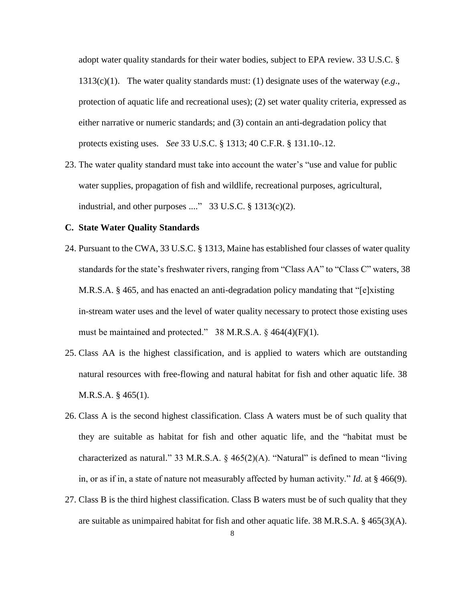adopt water quality standards for their water bodies, subject to EPA review. 33 U.S.C. § 1313(c)(1). The water quality standards must: (1) designate uses of the waterway (*e.g*., protection of aquatic life and recreational uses); (2) set water quality criteria, expressed as either narrative or numeric standards; and (3) contain an anti-degradation policy that protects existing uses. *See* 33 U.S.C. § 1313; 40 C.F.R. § 131.10-.12.

23. The water quality standard must take into account the water's "use and value for public water supplies, propagation of fish and wildlife, recreational purposes, agricultural, industrial, and other purposes ...."  $33 \text{ U.S.C.} \$   $1313(c)(2)$ .

## **C. State Water Quality Standards**

- 24. Pursuant to the CWA, 33 U.S.C. § 1313, Maine has established four classes of water quality standards for the state's freshwater rivers, ranging from "Class AA" to "Class C" waters, 38 M.R.S.A. § 465, and has enacted an anti-degradation policy mandating that "[e]xisting in-stream water uses and the level of water quality necessary to protect those existing uses must be maintained and protected." 38 M.R.S.A. § 464(4)(F)(1).
- 25. Class AA is the highest classification, and is applied to waters which are outstanding natural resources with free-flowing and natural habitat for fish and other aquatic life. 38 M.R.S.A. § 465(1).
- 26. Class A is the second highest classification. Class A waters must be of such quality that they are suitable as habitat for fish and other aquatic life, and the "habitat must be characterized as natural." 33 M.R.S.A. § 465(2)(A). "Natural" is defined to mean "living in, or as if in, a state of nature not measurably affected by human activity." *Id.* at § 466(9).
- 27. Class B is the third highest classification. Class B waters must be of such quality that they are suitable as unimpaired habitat for fish and other aquatic life. 38 M.R.S.A.  $\S$  465(3)(A).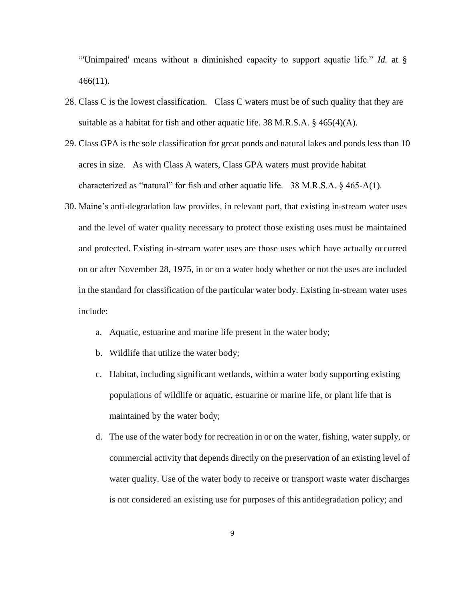"'Unimpaired' means without a diminished capacity to support aquatic life." *Id.* at § 466(11).

- 28. Class C is the lowest classification. Class C waters must be of such quality that they are suitable as a habitat for fish and other aquatic life. 38 M.R.S.A. § 465(4)(A).
- 29. Class GPA is the sole classification for great ponds and natural lakes and ponds less than 10 acres in size. As with Class A waters, Class GPA waters must provide habitat characterized as "natural" for fish and other aquatic life.  $38$  M.R.S.A.  $\S$  465-A(1).
- 30. Maine's anti-degradation law provides, in relevant part, that existing in-stream water uses and the level of water quality necessary to protect those existing uses must be maintained and protected. Existing in-stream water uses are those uses which have actually occurred on or after November 28, 1975, in or on a water body whether or not the uses are included in the standard for classification of the particular water body. Existing in-stream water uses include:
	- a. Aquatic, estuarine and marine life present in the water body;
	- b. Wildlife that utilize the water body;
	- c. Habitat, including significant wetlands, within a water body supporting existing populations of wildlife or aquatic, estuarine or marine life, or plant life that is maintained by the water body;
	- d. The use of the water body for recreation in or on the water, fishing, water supply, or commercial activity that depends directly on the preservation of an existing level of water quality. Use of the water body to receive or transport waste water discharges is not considered an existing use for purposes of this antidegradation policy; and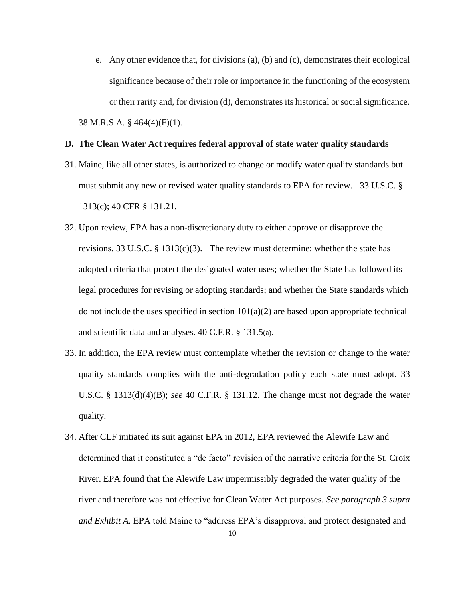e. Any other evidence that, for divisions (a), (b) and (c), demonstrates their ecological significance because of their role or importance in the functioning of the ecosystem or their rarity and, for division (d), demonstrates its historical or social significance. 38 M.R.S.A. § 464(4)(F)(1).

## **D. The Clean Water Act requires federal approval of state water quality standards**

- 31. Maine, like all other states, is authorized to change or modify water quality standards but must submit any new or revised water quality standards to EPA for review. 33 U.S.C. § 1313(c); 40 CFR § 131.21.
- 32. Upon review, EPA has a non-discretionary duty to either approve or disapprove the revisions. 33 U.S.C. § 1313(c)(3). The review must determine: whether the state has adopted criteria that protect the designated water uses; whether the State has followed its legal procedures for revising or adopting standards; and whether the State standards which do not include the uses specified in section  $101(a)(2)$  are based upon appropriate technical and scientific data and analyses. [40 C.F.R. § 131.5](http://www.westlaw.com/Link/Document/FullText?findType=L&pubNum=1000547&cite=40CFRS131.5&originatingDoc=I9ca0d2668bbf11d9af17b5c9441c4c47&refType=LQ&originationContext=document&vr=3.0&rs=cblt1.0&transitionType=DocumentItem&contextData=(sc.Search))(a).
- 33. In addition, the EPA review must contemplate whether the revision or change to the water quality standards complies with the anti-degradation policy each state must adopt. [33](http://www.westlaw.com/Link/Document/FullText?findType=L&pubNum=1000546&cite=33USCAS1313&originationContext=document&vr=3.0&rs=cblt1.0&transitionType=DocumentItem&contextData=(sc.Search)#co_pp_9d7c00002f824)  [U.S.C. § 1313\(d\)\(4\)\(B\);](http://www.westlaw.com/Link/Document/FullText?findType=L&pubNum=1000546&cite=33USCAS1313&originationContext=document&vr=3.0&rs=cblt1.0&transitionType=DocumentItem&contextData=(sc.Search)#co_pp_9d7c00002f824) *see* [40 C.F.R. § 131.12.](http://www.westlaw.com/Link/Document/FullText?findType=L&pubNum=1000547&cite=40CFRS131.12&originatingDoc=I9ca0d2668bbf11d9af17b5c9441c4c47&refType=LQ&originationContext=document&vr=3.0&rs=cblt1.0&transitionType=DocumentItem&contextData=(sc.Search)) The change must not degrade the water quality.
- 34. After CLF initiated its suit against EPA in 2012, EPA reviewed the Alewife Law and determined that it constituted a "de facto" revision of the narrative criteria for the St. Croix River. EPA found that the Alewife Law impermissibly degraded the water quality of the river and therefore was not effective for Clean Water Act purposes. *See paragraph 3 supra and Exhibit A.* EPA told Maine to "address EPA's disapproval and protect designated and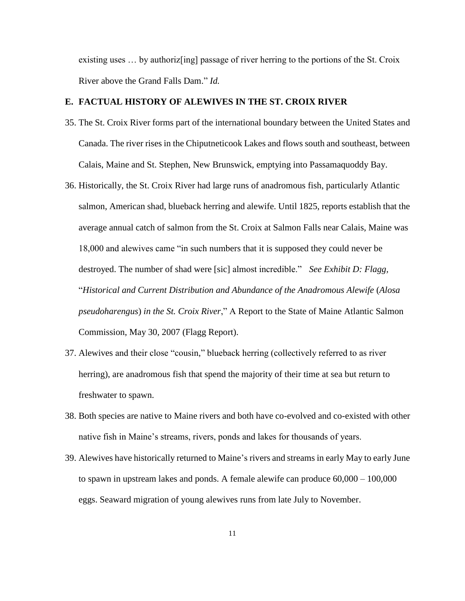existing uses … by authoriz[ing] passage of river herring to the portions of the St. Croix River above the Grand Falls Dam." *Id.*

## **E. FACTUAL HISTORY OF ALEWIVES IN THE ST. CROIX RIVER**

- 35. The St. Croix River forms part of the international boundary between the United States and Canada. The river rises in the [Chiputneticook Lakes](http://en.wikipedia.org/wiki/Chiputneticook_Lakes) and flows south and southeast, between Calais, Maine and St. Stephen, New Brunswick, emptying into [Passamaquoddy Bay.](http://en.wikipedia.org/wiki/Passamaquoddy_Bay)
- 36. Historically, the St. Croix River had large runs of anadromous fish, particularly Atlantic salmon, American shad, blueback herring and alewife. Until 1825, reports establish that the average annual catch of salmon from the St. Croix at Salmon Falls near Calais, Maine was 18,000 and alewives came "in such numbers that it is supposed they could never be destroyed. The number of shad were [sic] almost incredible." *See Exhibit D: Flagg,* "*Historical and Current Distribution and Abundance of the Anadromous Alewife* (*Alosa pseudoharengus*) *in the St. Croix River*," A Report to the State of Maine Atlantic Salmon Commission, May 30, 2007 (Flagg Report).
- 37. Alewives and their close "cousin," blueback herring (collectively referred to as river herring), are anadromous fish that spend the majority of their time at sea but return to freshwater to spawn.
- 38. Both species are native to Maine rivers and both have co-evolved and co-existed with other native fish in Maine's streams, rivers, ponds and lakes for thousands of years.
- 39. Alewives have historically returned to Maine's rivers and streams in early May to early June to spawn in upstream lakes and ponds. A female alewife can produce 60,000 – 100,000 eggs. Seaward migration of young alewives runs from late July to November.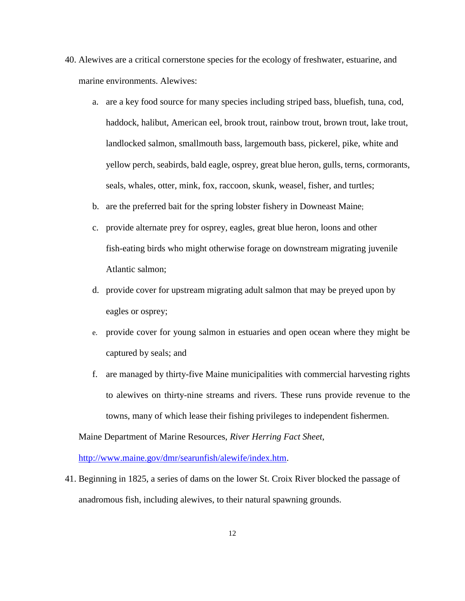- 40. Alewives are a critical cornerstone species for the ecology of freshwater, estuarine, and marine environments. Alewives:
	- a. are a key food source for many species including striped bass, bluefish, tuna, cod, haddock, halibut, American eel, brook trout, rainbow trout, brown trout, lake trout, landlocked salmon, smallmouth bass, largemouth bass, pickerel, pike, white and yellow perch, seabirds, bald eagle, osprey, great blue heron, gulls, terns, cormorants, seals, whales, otter, mink, fox, raccoon, skunk, weasel, fisher, and turtles;
	- b. are the preferred bait for the spring lobster fishery in Downeast Maine;
	- c. provide alternate prey for osprey, eagles, great blue heron, loons and other fish-eating birds who might otherwise forage on downstream migrating juvenile Atlantic salmon;
	- d. provide cover for upstream migrating adult salmon that may be preyed upon by eagles or osprey;
	- e. provide cover for young salmon in estuaries and open ocean where they might be captured by seals; and
	- f. are managed by thirty-five Maine municipalities with commercial harvesting rights to alewives on thirty-nine streams and rivers. These runs provide revenue to the towns, many of which lease their fishing privileges to independent fishermen.

Maine Department of Marine Resources, *River Herring Fact Sheet*,

[http://www.maine.gov/dmr/searunfish/alewife/index.htm.](http://www.maine.gov/dmr/searunfish/alewife/index.htm)

41. Beginning in 1825, a series of dams on the lower St. Croix River blocked the passage of anadromous fish, including alewives, to their natural spawning grounds.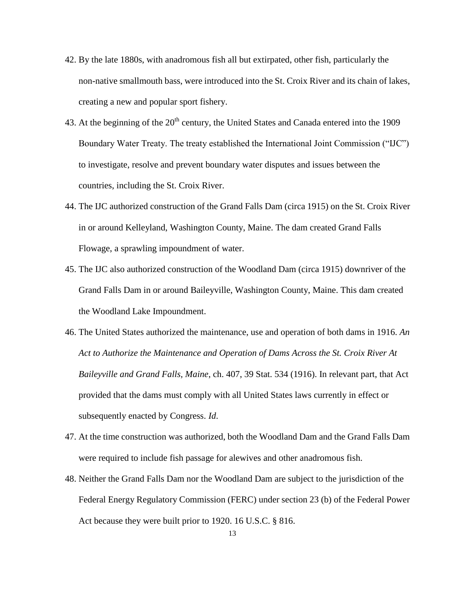- 42. By the late 1880s, with anadromous fish all but extirpated, other fish, particularly the non-native smallmouth bass, were introduced into the St. Croix River and its chain of lakes, creating a new and popular sport fishery.
- 43. At the beginning of the  $20<sup>th</sup>$  century, the United States and Canada entered into the 1909 Boundary Water Treaty. The treaty established the International Joint Commission ("IJC") to investigate, resolve and prevent boundary water disputes and issues between the countries, including the St. Croix River.
- 44. The IJC authorized construction of the Grand Falls Dam (circa 1915) on the St. Croix River in or around Kelleyland, Washington County, Maine. The dam created Grand Falls Flowage, a sprawling impoundment of water.
- 45. The IJC also authorized construction of the Woodland Dam (circa 1915) downriver of the Grand Falls Dam in or around Baileyville, Washington County, Maine. This dam created the Woodland Lake Impoundment.
- 46. The United States authorized the maintenance, use and operation of both dams in 1916. *An Act to Authorize the Maintenance and Operation of Dams Across the St. Croix River At Baileyville and Grand Falls, Maine*, ch. 407, 39 Stat. 534 (1916). In relevant part, that Act provided that the dams must comply with all United States laws currently in effect or subsequently enacted by Congress. *Id*.
- 47. At the time construction was authorized, both the Woodland Dam and the Grand Falls Dam were required to include fish passage for alewives and other anadromous fish.
- 48. Neither the Grand Falls Dam nor the Woodland Dam are subject to the jurisdiction of the Federal Energy Regulatory Commission (FERC) under section 23 (b) of the Federal Power Act because they were built prior to 1920. 16 U.S.C. § 816.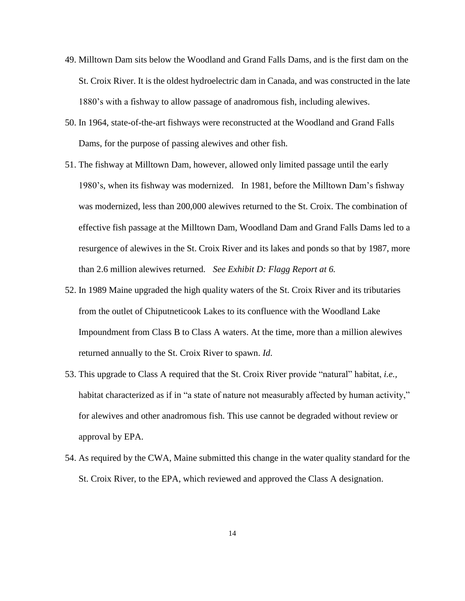- 49. Milltown Dam sits below the Woodland and Grand Falls Dams, and is the first dam on the St. Croix River. It is the oldest hydroelectric dam in Canada, and was constructed in the late 1880's with a fishway to allow passage of anadromous fish, including alewives.
- 50. In 1964, state-of-the-art fishways were reconstructed at the Woodland and Grand Falls Dams, for the purpose of passing alewives and other fish.
- 51. The fishway at Milltown Dam, however, allowed only limited passage until the early 1980's, when its fishway was modernized. In 1981, before the Milltown Dam's fishway was modernized, less than 200,000 alewives returned to the St. Croix. The combination of effective fish passage at the Milltown Dam, Woodland Dam and Grand Falls Dams led to a resurgence of alewives in the St. Croix River and its lakes and ponds so that by 1987, more than 2.6 million alewives returned. *See Exhibit D: Flagg Report at 6.*
- 52. In 1989 Maine upgraded the high quality waters of the St. Croix River and its tributaries from the outlet of Chiputneticook Lakes to its confluence with the Woodland Lake Impoundment from Class B to Class A waters. At the time, more than a million alewives returned annually to the St. Croix River to spawn. *Id*.
- 53. This upgrade to Class A required that the St. Croix River provide "natural" habitat, *i.e.,* habitat characterized as if in "a state of nature not measurably affected by human activity," for alewives and other anadromous fish. This use cannot be degraded without review or approval by EPA.
- 54. As required by the CWA, Maine submitted this change in the water quality standard for the St. Croix River, to the EPA, which reviewed and approved the Class A designation.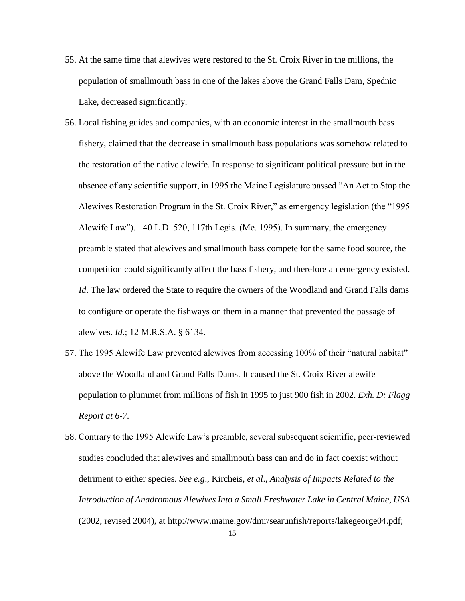- 55. At the same time that alewives were restored to the St. Croix River in the millions, the population of smallmouth bass in one of the lakes above the Grand Falls Dam, Spednic Lake, decreased significantly.
- 56. Local fishing guides and companies, with an economic interest in the smallmouth bass fishery, claimed that the decrease in smallmouth bass populations was somehow related to the restoration of the native alewife. In response to significant political pressure but in the absence of any scientific support, in 1995 the Maine Legislature passed "An Act to Stop the Alewives Restoration Program in the St. Croix River," as emergency legislation (the "1995 Alewife Law"). 40 L.D. 520, 117th Legis. (Me. 1995). In summary, the emergency preamble stated that alewives and smallmouth bass compete for the same food source, the competition could significantly affect the bass fishery, and therefore an emergency existed. *Id*. The law ordered the State to require the owners of the Woodland and Grand Falls dams to configure or operate the fishways on them in a manner that prevented the passage of alewives. *Id*.; 12 M.R.S.A. § 6134.
- 57. The 1995 Alewife Law prevented alewives from accessing 100% of their "natural habitat" above the Woodland and Grand Falls Dams. It caused the St. Croix River alewife population to plummet from millions of fish in 1995 to just 900 fish in 2002. *Exh. D: Flagg Report at 6-7.*
- 58. Contrary to the 1995 Alewife Law's preamble, several subsequent scientific, peer-reviewed studies concluded that alewives and smallmouth bass can and do in fact coexist without detriment to either species. *See e.g*., Kircheis, *et al*., *Analysis of Impacts Related to the Introduction of Anadromous Alewives Into a Small Freshwater Lake in Central Maine*, *USA* (2002, revised 2004), at http://www.maine.gov/dmr/searunfish/reports/lakegeorge04.pdf;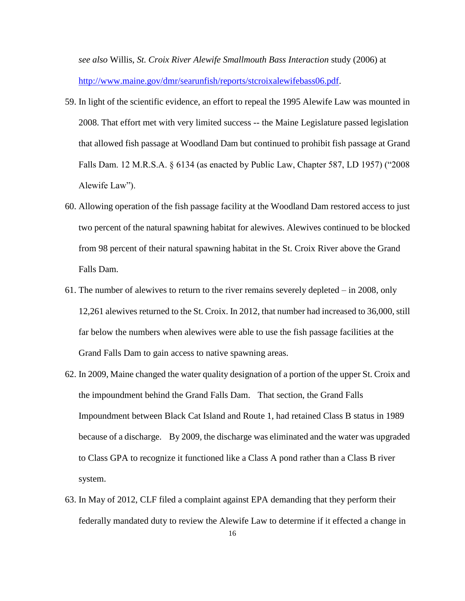*see also* Willis, *St. Croix River Alewife Smallmouth Bass Interaction* study (2006) at [http://www.maine.gov/dmr/searunfish/reports/stcroixalewifebass06.pdf.](http://www.maine.gov/dmr/searunfish/reports/stcroixalewifebass06.pdf)

- 59. In light of the scientific evidence, an effort to repeal the 1995 Alewife Law was mounted in 2008. That effort met with very limited success -- the Maine Legislature passed legislation that allowed fish passage at Woodland Dam but continued to prohibit fish passage at Grand Falls Dam. 12 M.R.S.A. § 6134 (as enacted by Public Law, Chapter 587, LD 1957) ("2008 Alewife Law").
- 60. Allowing operation of the fish passage facility at the Woodland Dam restored access to just two percent of the natural spawning habitat for alewives. Alewives continued to be blocked from 98 percent of their natural spawning habitat in the St. Croix River above the Grand Falls Dam.
- 61. The number of alewives to return to the river remains severely depleted in 2008, only 12,261 alewives returned to the St. Croix. In 2012, that number had increased to 36,000, still far below the numbers when alewives were able to use the fish passage facilities at the Grand Falls Dam to gain access to native spawning areas.
- 62. In 2009, Maine changed the water quality designation of a portion of the upper St. Croix and the impoundment behind the Grand Falls Dam. That section, the Grand Falls Impoundment between Black Cat Island and Route 1, had retained Class B status in 1989 because of a discharge. By 2009, the discharge was eliminated and the water was upgraded to Class GPA to recognize it functioned like a Class A pond rather than a Class B river system.
- 63. In May of 2012, CLF filed a complaint against EPA demanding that they perform their federally mandated duty to review the Alewife Law to determine if it effected a change in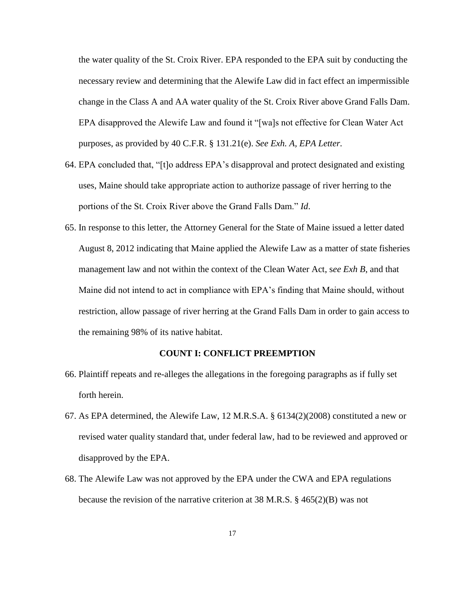the water quality of the St. Croix River. EPA responded to the EPA suit by conducting the necessary review and determining that the Alewife Law did in fact effect an impermissible change in the Class A and AA water quality of the St. Croix River above Grand Falls Dam. EPA disapproved the Alewife Law and found it "[wa]s not effective for Clean Water Act purposes, as provided by 40 C.F.R. § 131.21(e). *See Exh. A, EPA Letter.*

- 64. EPA concluded that, "[t]o address EPA's disapproval and protect designated and existing uses, Maine should take appropriate action to authorize passage of river herring to the portions of the St. Croix River above the Grand Falls Dam." *Id*.
- 65. In response to this letter, the Attorney General for the State of Maine issued a letter dated August 8, 2012 indicating that Maine applied the Alewife Law as a matter of state fisheries management law and not within the context of the Clean Water Act, s*ee Exh B*, and that Maine did not intend to act in compliance with EPA's finding that Maine should, without restriction, allow passage of river herring at the Grand Falls Dam in order to gain access to the remaining 98% of its native habitat.

## **COUNT I: CONFLICT PREEMPTION**

- 66. Plaintiff repeats and re-alleges the allegations in the foregoing paragraphs as if fully set forth herein.
- 67. As EPA determined, the Alewife Law, 12 M.R.S.A. § 6134(2)(2008) constituted a new or revised water quality standard that, under federal law, had to be reviewed and approved or disapproved by the EPA.
- 68. The Alewife Law was not approved by the EPA under the CWA and EPA regulations because the revision of the narrative criterion at 38 M.R.S. § 465(2)(B) was not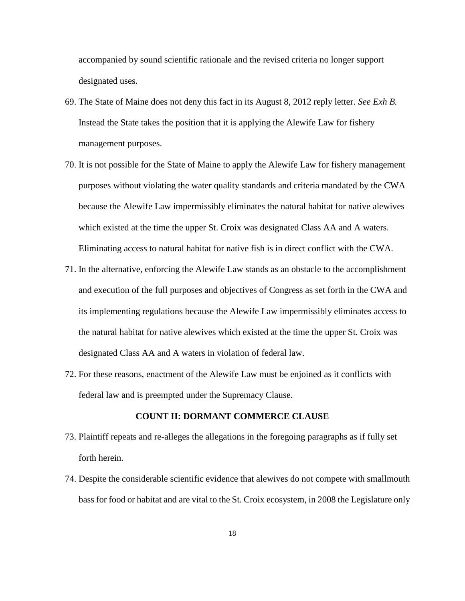accompanied by sound scientific rationale and the revised criteria no longer support designated uses.

- 69. The State of Maine does not deny this fact in its August 8, 2012 reply letter. *See Exh B.* Instead the State takes the position that it is applying the Alewife Law for fishery management purposes.
- 70. It is not possible for the State of Maine to apply the Alewife Law for fishery management purposes without violating the water quality standards and criteria mandated by the CWA because the Alewife Law impermissibly eliminates the natural habitat for native alewives which existed at the time the upper St. Croix was designated Class AA and A waters. Eliminating access to natural habitat for native fish is in direct conflict with the CWA.
- 71. In the alternative, enforcing the Alewife Law stands as an obstacle to the accomplishment and execution of the full purposes and objectives of Congress as set forth in the CWA and its implementing regulations because the Alewife Law impermissibly eliminates access to the natural habitat for native alewives which existed at the time the upper St. Croix was designated Class AA and A waters in violation of federal law.
- 72. For these reasons, enactment of the Alewife Law must be enjoined as it conflicts with federal law and is preempted under the Supremacy Clause.

## **COUNT II: DORMANT COMMERCE CLAUSE**

- 73. Plaintiff repeats and re-alleges the allegations in the foregoing paragraphs as if fully set forth herein.
- 74. Despite the considerable scientific evidence that alewives do not compete with smallmouth bass for food or habitat and are vital to the St. Croix ecosystem, in 2008 the Legislature only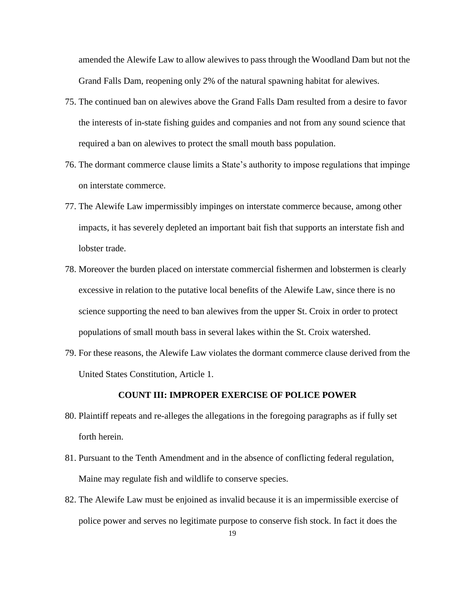amended the Alewife Law to allow alewives to pass through the Woodland Dam but not the Grand Falls Dam, reopening only 2% of the natural spawning habitat for alewives.

- 75. The continued ban on alewives above the Grand Falls Dam resulted from a desire to favor the interests of in-state fishing guides and companies and not from any sound science that required a ban on alewives to protect the small mouth bass population.
- 76. The dormant commerce clause limits a State's authority to impose regulations that impinge on interstate commerce.
- 77. The Alewife Law impermissibly impinges on interstate commerce because, among other impacts, it has severely depleted an important bait fish that supports an interstate fish and lobster trade.
- 78. Moreover the burden placed on interstate commercial fishermen and lobstermen is clearly excessive in relation to the putative local benefits of the Alewife Law, since there is no science supporting the need to ban alewives from the upper St. Croix in order to protect populations of small mouth bass in several lakes within the St. Croix watershed.
- 79. For these reasons, the Alewife Law violates the dormant commerce clause derived from the United States Constitution, Article 1.

## **COUNT III: IMPROPER EXERCISE OF POLICE POWER**

- 80. Plaintiff repeats and re-alleges the allegations in the foregoing paragraphs as if fully set forth herein.
- 81. Pursuant to the Tenth Amendment and in the absence of conflicting federal regulation, Maine may regulate fish and wildlife to conserve species.
- 82. The Alewife Law must be enjoined as invalid because it is an impermissible exercise of police power and serves no legitimate purpose to conserve fish stock. In fact it does the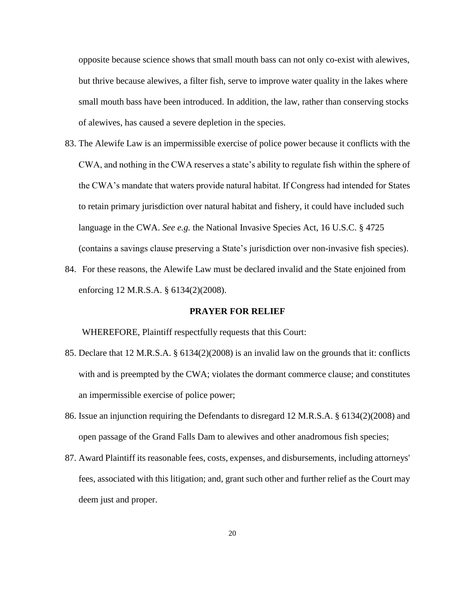opposite because science shows that small mouth bass can not only co-exist with alewives, but thrive because alewives, a filter fish, serve to improve water quality in the lakes where small mouth bass have been introduced. In addition, the law, rather than conserving stocks of alewives, has caused a severe depletion in the species.

- 83. The Alewife Law is an impermissible exercise of police power because it conflicts with the CWA, and nothing in the CWA reserves a state's ability to regulate fish within the sphere of the CWA's mandate that waters provide natural habitat. If Congress had intended for States to retain primary jurisdiction over natural habitat and fishery, it could have included such language in the CWA. *See e.g.* the National Invasive Species Act, 16 U.S.C. § 4725 (contains a savings clause preserving a State's jurisdiction over non-invasive fish species).
- 84. For these reasons, the Alewife Law must be declared invalid and the State enjoined from enforcing 12 M.R.S.A. § 6134(2)(2008).

## **PRAYER FOR RELIEF**

WHEREFORE, Plaintiff respectfully requests that this Court:

- 85. Declare that 12 M.R.S.A. § 6134(2)(2008) is an invalid law on the grounds that it: conflicts with and is preempted by the CWA; violates the dormant commerce clause; and constitutes an impermissible exercise of police power;
- 86. Issue an injunction requiring the Defendants to disregard 12 M.R.S.A. § 6134(2)(2008) and open passage of the Grand Falls Dam to alewives and other anadromous fish species;
- 87. Award Plaintiff its reasonable fees, costs, expenses, and disbursements, including attorneys' fees, associated with this litigation; and, grant such other and further relief as the Court may deem just and proper.